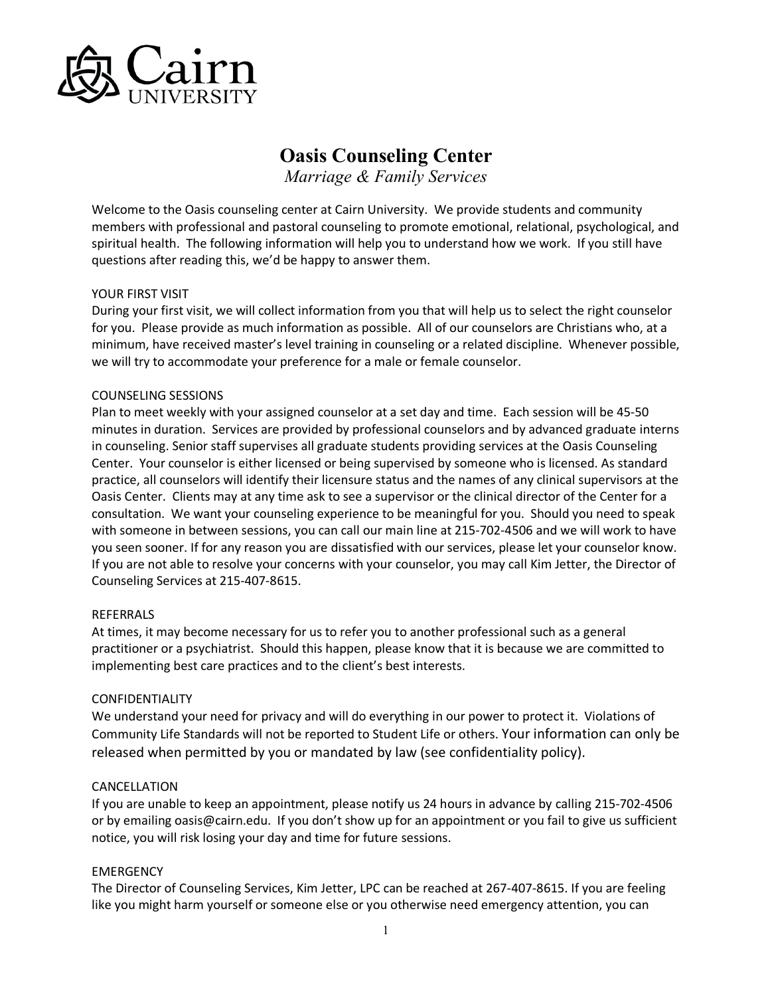

# **Oasis Counseling Center**

*Marriage & Family Services*

Welcome to the Oasis counseling center at Cairn University. We provide students and community members with professional and pastoral counseling to promote emotional, relational, psychological, and spiritual health. The following information will help you to understand how we work. If you still have questions after reading this, we'd be happy to answer them.

#### YOUR FIRST VISIT

During your first visit, we will collect information from you that will help us to select the right counselor for you. Please provide as much information as possible. All of our counselors are Christians who, at a minimum, have received master's level training in counseling or a related discipline. Whenever possible, we will try to accommodate your preference for a male or female counselor.

#### COUNSELING SESSIONS

Plan to meet weekly with your assigned counselor at a set day and time. Each session will be 45-50 minutes in duration. Services are provided by professional counselors and by advanced graduate interns in counseling. Senior staff supervises all graduate students providing services at the Oasis Counseling Center. Your counselor is either licensed or being supervised by someone who is licensed. As standard practice, all counselors will identify their licensure status and the names of any clinical supervisors at the Oasis Center. Clients may at any time ask to see a supervisor or the clinical director of the Center for a consultation. We want your counseling experience to be meaningful for you. Should you need to speak with someone in between sessions, you can call our main line at 215-702-4506 and we will work to have you seen sooner. If for any reason you are dissatisfied with our services, please let your counselor know. If you are not able to resolve your concerns with your counselor, you may call Kim Jetter, the Director of Counseling Services at 215-407-8615.

#### REFERRALS

At times, it may become necessary for us to refer you to another professional such as a general practitioner or a psychiatrist. Should this happen, please know that it is because we are committed to implementing best care practices and to the client's best interests.

#### CONFIDENTIALITY

We understand your need for privacy and will do everything in our power to protect it. Violations of Community Life Standards will not be reported to Student Life or others. Your information can only be released when permitted by you or mandated by law (see confidentiality policy).

#### CANCELLATION

If you are unable to keep an appointment, please notify us 24 hours in advance by calling 215-702-4506 or by emailing oasis@cairn.edu. If you don't show up for an appointment or you fail to give us sufficient notice, you will risk losing your day and time for future sessions.

# EMERGENCY

The Director of Counseling Services, Kim Jetter, LPC can be reached at 267-407-8615. If you are feeling like you might harm yourself or someone else or you otherwise need emergency attention, you can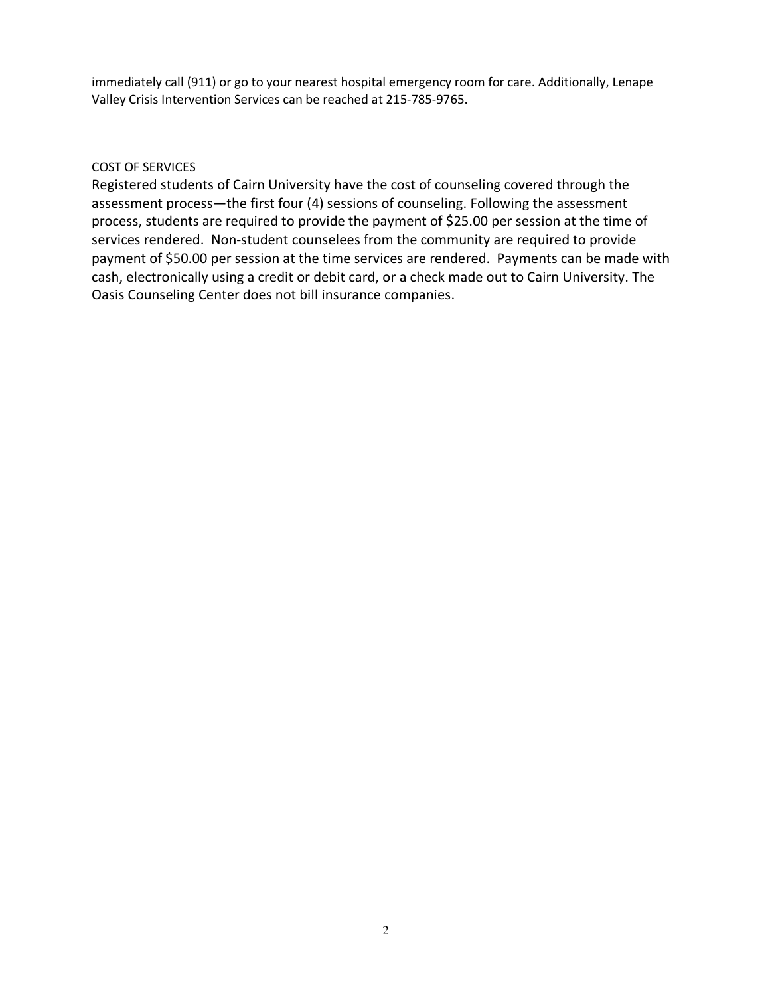immediately call (911) or go to your nearest hospital emergency room for care. Additionally, Lenape Valley Crisis Intervention Services can be reached at 215-785-9765.

# COST OF SERVICES

Registered students of Cairn University have the cost of counseling covered through the assessment process—the first four (4) sessions of counseling. Following the assessment process, students are required to provide the payment of \$25.00 per session at the time of services rendered. Non-student counselees from the community are required to provide payment of \$50.00 per session at the time services are rendered. Payments can be made with cash, electronically using a credit or debit card, or a check made out to Cairn University. The Oasis Counseling Center does not bill insurance companies.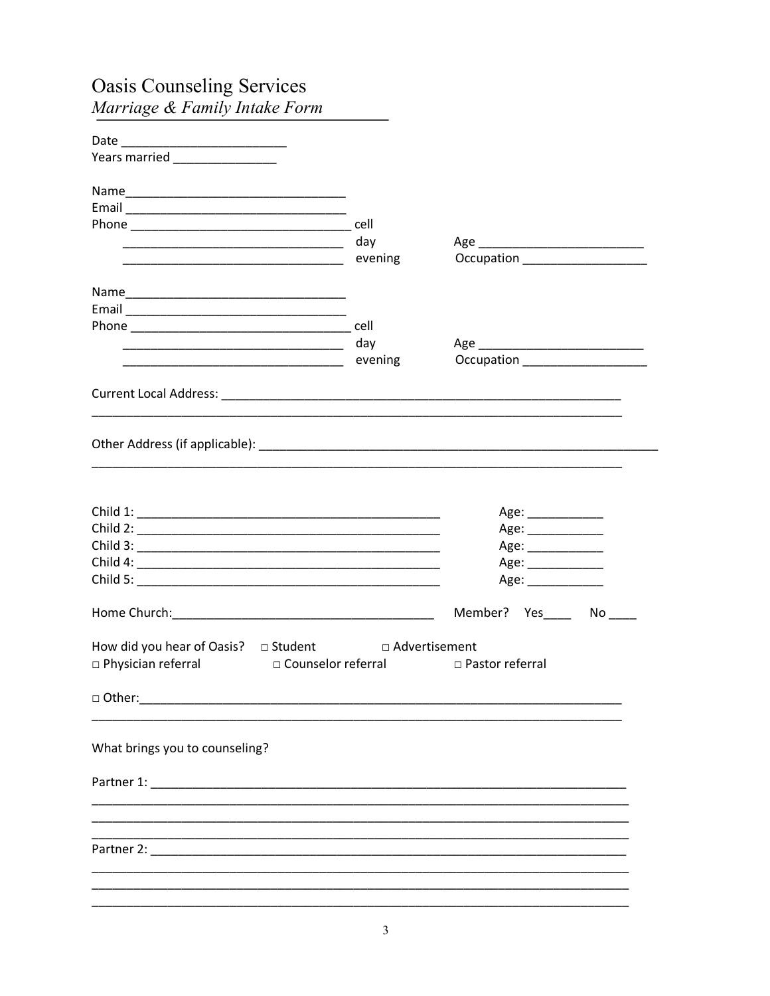| <b>Oasis Counseling Services</b>                                                                               |         |                                                                                      |
|----------------------------------------------------------------------------------------------------------------|---------|--------------------------------------------------------------------------------------|
| Marriage & Family Intake Form                                                                                  |         |                                                                                      |
|                                                                                                                |         |                                                                                      |
| Years married ________________                                                                                 |         |                                                                                      |
|                                                                                                                |         |                                                                                      |
|                                                                                                                |         |                                                                                      |
|                                                                                                                |         |                                                                                      |
|                                                                                                                |         |                                                                                      |
|                                                                                                                | evening | Occupation ____________________                                                      |
|                                                                                                                |         |                                                                                      |
|                                                                                                                |         |                                                                                      |
| Email 2008 - 2008 - 2010 - 2010 - 2010 - 2010 - 2010 - 2010 - 2010 - 2010 - 2010 - 2010 - 2010 - 2010 - 2010 - |         |                                                                                      |
| <u> 1999 - Johann John Stone, mars et al. (1999)</u>                                                           | day     |                                                                                      |
|                                                                                                                | evening | Occupation _____________________                                                     |
|                                                                                                                |         |                                                                                      |
|                                                                                                                |         | Age: ____________<br>Age: ______________<br>Age: ____________<br>Age: ______________ |
|                                                                                                                |         | Age: ____________                                                                    |
|                                                                                                                |         | Member? Yes_____ No____                                                              |
| How did you hear of Oasis? <b>D</b> Student<br>□ Physician referral<br>□ Counselor referral                    |         | □ Advertisement<br>□ Pastor referral                                                 |
|                                                                                                                |         |                                                                                      |
| What brings you to counseling?                                                                                 |         |                                                                                      |
|                                                                                                                |         |                                                                                      |
|                                                                                                                |         |                                                                                      |
|                                                                                                                |         |                                                                                      |
|                                                                                                                |         |                                                                                      |
|                                                                                                                |         |                                                                                      |

 $\overline{3}$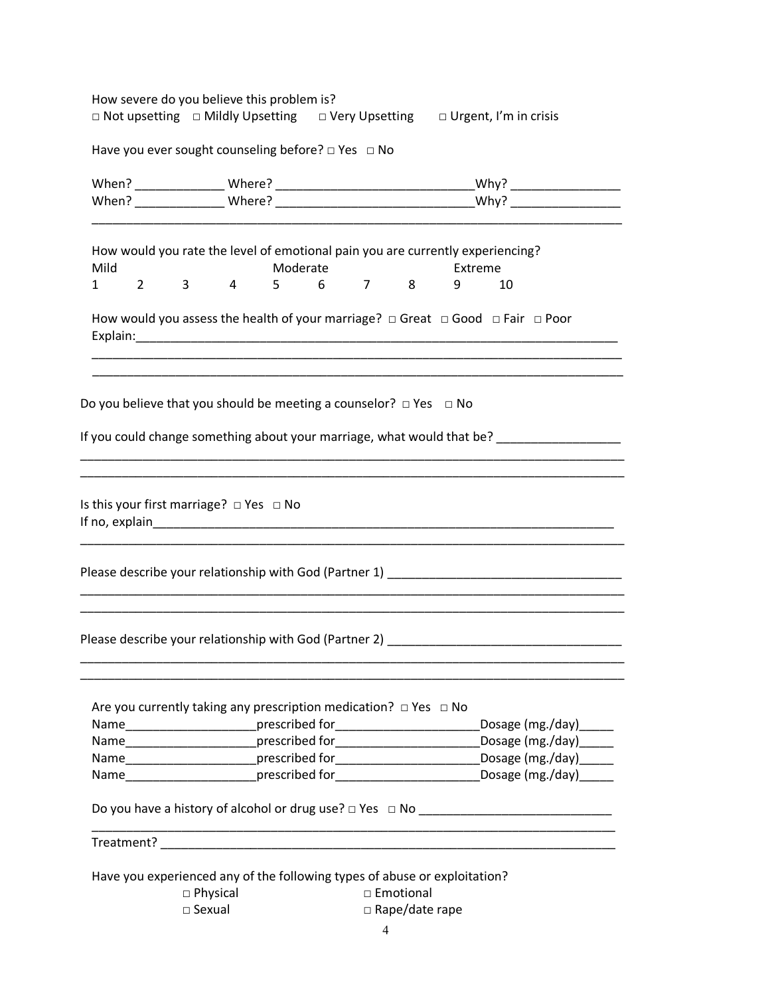How severe do you believe this problem is? □ Not upsetting □ Mildly Upsetting □ Very Upsetting □ Urgent, I'm in crisis

Have you ever sought counseling before? □ Yes □ No

| Mild                                                     | How would you rate the level of emotional pain you are currently experiencing?                                                                                                                             | Moderate           |  | Extreme |                        |  |
|----------------------------------------------------------|------------------------------------------------------------------------------------------------------------------------------------------------------------------------------------------------------------|--------------------|--|---------|------------------------|--|
| $2 \left( \frac{1}{2} \right)$<br>$1 \quad \blacksquare$ | $3^{\circ}$<br>$\overline{4}$                                                                                                                                                                              | $5 \t 6 \t 7 \t 8$ |  | 9<br>10 |                        |  |
|                                                          | How would you assess the health of your marriage? $\Box$ Great $\Box$ Good $\Box$ Fair $\Box$ Poor                                                                                                         |                    |  |         |                        |  |
|                                                          | Do you believe that you should be meeting a counselor? $\Box$ Yes $\Box$ No                                                                                                                                |                    |  |         |                        |  |
|                                                          | If you could change something about your marriage, what would that be? ___________________                                                                                                                 |                    |  |         |                        |  |
| Is this your first marriage? $\Box$ Yes $\Box$ No        | ,我们也不能在这里的人,我们也不能在这里的人,我们也不能在这里的人,我们也不能在这里的人,我们也不能在这里的人,我们也不能在这里的人,我们也不能在这里的人,我们                                                                                                                           |                    |  |         |                        |  |
|                                                          | Please describe your relationship with God (Partner 1) __________________________                                                                                                                          |                    |  |         |                        |  |
|                                                          | <u> 1989 - Johann Stoff, deutscher Stoff, der Stoff, der Stoff, der Stoff, der Stoff, der Stoff, der Stoff, der S</u><br>Please describe your relationship with God (Partner 2) __________________________ |                    |  |         |                        |  |
|                                                          | Are you currently taking any prescription medication? $\Box$ Yes $\Box$ No                                                                                                                                 |                    |  |         |                        |  |
|                                                          | Name_________________________prescribed for______________________________Dosage (mg./day)_______                                                                                                           |                    |  |         |                        |  |
|                                                          | Name___________________________prescribed for___________________________________                                                                                                                           |                    |  |         | Dosage (mg./day)______ |  |
|                                                          | Name_________________________prescribed for______________________________Dosage (mg./day)______                                                                                                            |                    |  |         |                        |  |
|                                                          | Name_________________________prescribed for______________________________Dosage (mg./day)______                                                                                                            |                    |  |         |                        |  |
|                                                          |                                                                                                                                                                                                            |                    |  |         |                        |  |
|                                                          |                                                                                                                                                                                                            |                    |  |         |                        |  |
|                                                          | Have you experienced any of the following types of abuse or exploitation?<br>$\square$ Physical                                                                                                            | □ Emotional        |  |         |                        |  |
|                                                          | $\square$ Sexual<br>$\Box$ Rape/date rape                                                                                                                                                                  |                    |  |         |                        |  |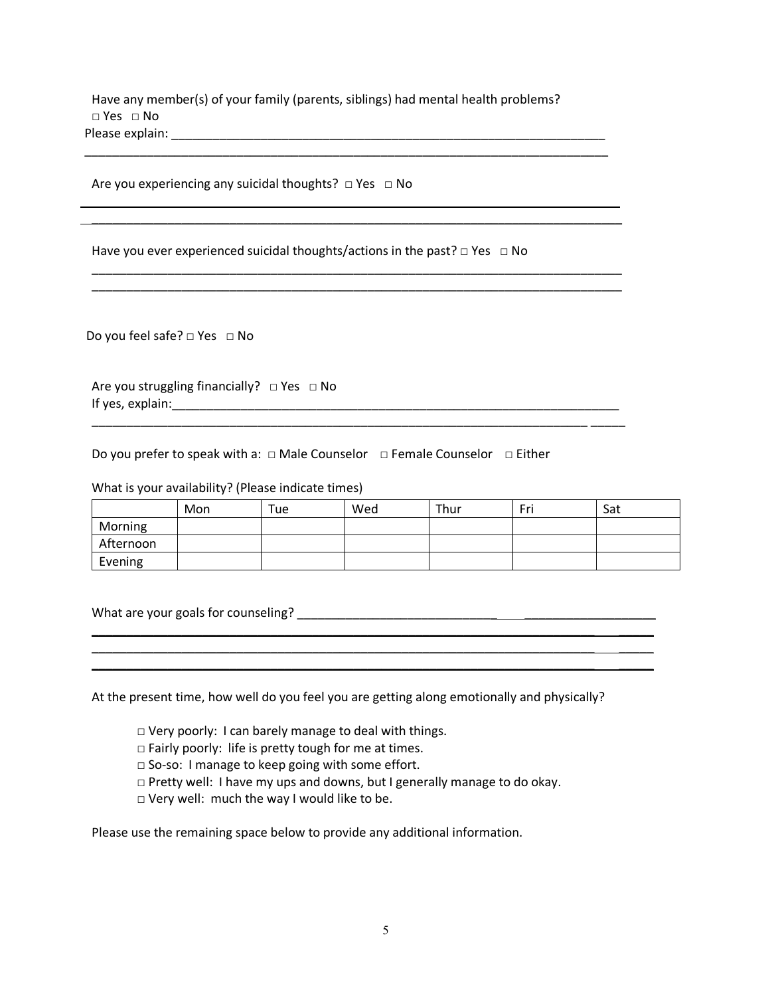Have any member(s) of your family (parents, siblings) had mental health problems? □ Yes □ No Please explain: \_\_\_\_\_\_\_\_\_\_\_\_\_\_\_\_\_\_\_\_\_\_\_\_\_\_\_\_\_\_\_\_\_\_\_\_\_\_\_\_\_\_\_\_\_\_\_\_\_\_\_\_\_\_\_\_\_\_\_\_\_\_\_

 \_\_\_\_\_\_\_\_\_\_\_\_\_\_\_\_\_\_\_\_\_\_\_\_\_\_\_\_\_\_\_\_\_\_\_\_\_\_\_\_\_\_\_\_\_\_\_\_\_\_\_\_\_\_\_\_\_\_\_\_\_\_\_\_\_\_\_\_\_\_\_\_\_\_\_ \_\_ \_\_\_\_\_\_\_\_\_\_\_\_\_\_\_\_\_\_\_\_\_\_\_\_\_\_\_\_\_\_\_\_\_\_\_\_\_\_\_\_\_\_\_\_\_\_\_\_\_\_\_\_\_\_\_\_\_\_\_\_\_\_\_\_\_\_\_\_\_\_\_\_\_\_\_\_\_

\_\_\_\_\_\_\_\_\_\_\_\_\_\_\_\_\_\_\_\_\_\_\_\_\_\_\_\_\_\_\_\_\_\_\_\_\_\_\_\_\_\_\_\_\_\_\_\_\_\_\_\_\_\_\_\_\_\_\_\_\_\_\_\_\_\_\_\_\_\_\_\_\_\_\_\_\_ \_\_\_\_\_\_\_\_\_\_\_\_\_\_\_\_\_\_\_\_\_\_\_\_\_\_\_\_\_\_\_\_\_\_\_\_\_\_\_\_\_\_\_\_\_\_\_\_\_\_\_\_\_\_\_\_\_\_\_\_\_\_\_\_\_\_\_\_\_\_\_\_\_\_\_\_\_

\_\_\_\_\_\_\_\_\_\_\_\_\_\_\_\_\_\_\_\_\_\_\_\_\_\_\_\_\_\_\_\_\_\_\_\_\_\_\_\_\_\_\_\_\_\_\_\_\_\_\_\_\_\_\_\_\_\_\_\_\_\_\_\_\_\_\_\_\_\_\_\_ \_\_\_\_\_

Are you experiencing any suicidal thoughts?  $\Box$  Yes  $\Box$  No

Have you ever experienced suicidal thoughts/actions in the past?  $\Box$  Yes  $\Box$  No

Do you feel safe? □ Yes □ No

Are you struggling financially?  $\Box$  Yes  $\Box$  No If yes, explain:\_\_\_\_\_\_\_\_\_\_\_\_\_\_\_\_\_\_\_\_\_\_\_\_\_\_\_\_\_\_\_\_\_\_\_\_\_\_\_\_\_\_\_\_\_\_\_\_\_\_\_\_\_\_\_\_\_\_\_\_\_\_\_\_\_

Do you prefer to speak with a: □ Male Counselor □ Female Counselor □ Either

What is your availability? (Please indicate times)

|           | Mon | Tue | Wed | Thur | Fri | Sat |
|-----------|-----|-----|-----|------|-----|-----|
| Morning   |     |     |     |      |     |     |
| Afternoon |     |     |     |      |     |     |
| Evening   |     |     |     |      |     |     |

What are your goals for counseling? \_\_\_\_\_\_\_\_\_\_\_\_\_\_\_\_\_\_\_\_\_\_\_\_\_\_\_\_\_ \_\_\_\_\_\_\_\_\_\_\_\_\_\_\_\_\_\_\_

At the present time, how well do you feel you are getting along emotionally and physically?

\_\_\_\_\_\_\_\_\_\_\_\_\_\_\_\_\_\_\_\_\_\_\_\_\_\_\_\_\_\_\_\_\_\_\_\_\_\_\_\_\_\_\_\_\_\_\_\_\_\_\_\_\_\_\_\_\_\_\_\_\_\_\_\_\_\_\_\_\_\_\_\_\_ \_\_\_\_\_ \_\_\_\_\_\_\_\_\_\_\_\_\_\_\_\_\_\_\_\_\_\_\_\_\_\_\_\_\_\_\_\_\_\_\_\_\_\_\_\_\_\_\_\_\_\_\_\_\_\_\_\_\_\_\_\_\_\_\_\_\_\_\_\_\_\_\_\_\_\_\_\_\_ \_\_\_\_\_

- □ Very poorly: I can barely manage to deal with things.
- □ Fairly poorly: life is pretty tough for me at times.
- □ So-so: I manage to keep going with some effort.
- □ Pretty well: I have my ups and downs, but I generally manage to do okay.
- □ Very well: much the way I would like to be.

Please use the remaining space below to provide any additional information.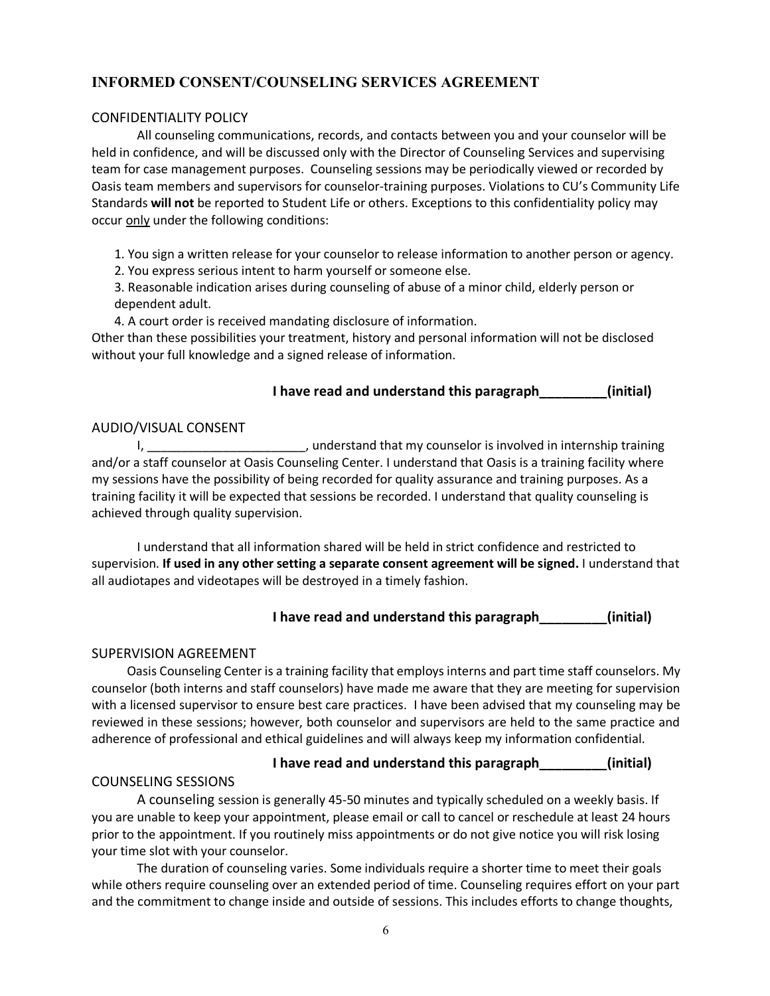# **INFORMED CONSENT/COUNSELING SERVICES AGREEMENT**

# CONFIDENTIALITY POLICY

All counseling communications, records, and contacts between you and your counselor will be held in confidence, and will be discussed only with the Director of Counseling Services and supervising team for case management purposes. Counseling sessions may be periodically viewed or recorded by Oasis team members and supervisors for counselor-training purposes. Violations to CU's Community Life Standards **will not** be reported to Student Life or others. Exceptions to this confidentiality policy may occur only under the following conditions:

1. You sign a written release for your counselor to release information to another person or agency.

2. You express serious intent to harm yourself or someone else.

3. Reasonable indication arises during counseling of abuse of a minor child, elderly person or dependent adult.

4. A court order is received mandating disclosure of information.

Other than these possibilities your treatment, history and personal information will not be disclosed without your full knowledge and a signed release of information.

# **I have read and understand this paragraph\_\_\_\_\_\_\_\_\_(initial)**

# AUDIO/VISUAL CONSENT

I, \_\_\_\_\_\_\_\_\_\_\_\_\_\_\_\_\_\_\_\_\_\_\_, understand that my counselor is involved in internship training and/or a staff counselor at Oasis Counseling Center. I understand that Oasis is a training facility where my sessions have the possibility of being recorded for quality assurance and training purposes. As a training facility it will be expected that sessions be recorded. I understand that quality counseling is achieved through quality supervision.

I understand that all information shared will be held in strict confidence and restricted to supervision. **If used in any other setting a separate consent agreement will be signed.** I understand that all audiotapes and videotapes will be destroyed in a timely fashion.

# **I have read and understand this paragraph\_\_\_\_\_\_\_\_\_(initial)**

# SUPERVISION AGREEMENT

Oasis Counseling Center is a training facility that employs interns and part time staff counselors. My counselor (both interns and staff counselors) have made me aware that they are meeting for supervision with a licensed supervisor to ensure best care practices. I have been advised that my counseling may be reviewed in these sessions; however, both counselor and supervisors are held to the same practice and adherence of professional and ethical guidelines and will always keep my information confidential.

#### **I have read and understand this paragraph\_\_\_\_\_\_\_\_\_(initial)**

# COUNSELING SESSIONS

A counseling session is generally 45-50 minutes and typically scheduled on a weekly basis. If you are unable to keep your appointment, please email or call to cancel or reschedule at least 24 hours prior to the appointment. If you routinely miss appointments or do not give notice you will risk losing your time slot with your counselor.

The duration of counseling varies. Some individuals require a shorter time to meet their goals while others require counseling over an extended period of time. Counseling requires effort on your part and the commitment to change inside and outside of sessions. This includes efforts to change thoughts,